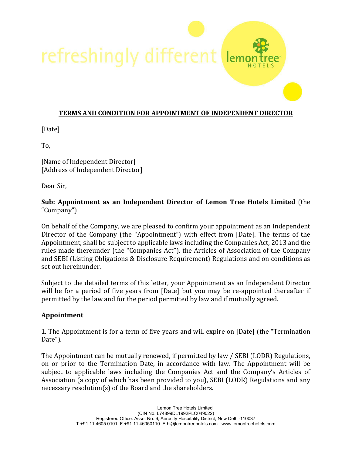refreshingly different  $|<sub>en</sub>$ 

### **TERMS AND CONDITION FOR APPOINTMENT OF INDEPENDENT DIRECTOR**

[Date]

To,

[Name of Independent Director] [Address of Independent Director]

Dear Sir,

### **Sub: Appointment as an Independent Director of Lemon Tree Hotels Limited** (the "Company")

On behalf of the Company, we are pleased to confirm your appointment as an Independent Director of the Company (the "Appointment") with effect from [Date]. The terms of the Appointment, shall be subject to applicable laws including the Companies Act, 2013 and the rules made thereunder (the "Companies Act"), the Articles of Association of the Company and SEBI (Listing Obligations & Disclosure Requirement) Regulations and on conditions as set out hereinunder.

Subject to the detailed terms of this letter, your Appointment as an Independent Director will be for a period of five years from [Date] but you may be re-appointed thereafter if permitted by the law and for the period permitted by law and if mutually agreed.

### **Appointment**

1. The Appointment is for a term of five years and will expire on [Date] (the "Termination Date").

The Appointment can be mutually renewed, if permitted by law / SEBI (LODR) Regulations, on or prior to the Termination Date, in accordance with law. The Appointment will be subject to applicable laws including the Companies Act and the Company's Articles of Association (a copy of which has been provided to you), SEBI (LODR) Regulations and any necessary resolution(s) of the Board and the shareholders.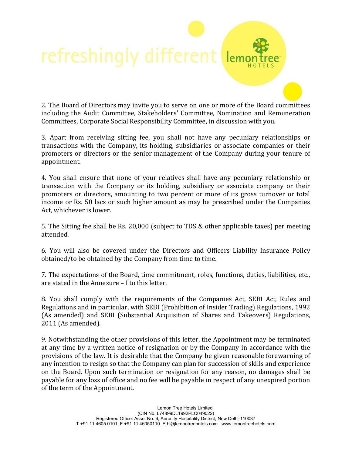### refreshingly different ler

2. The Board of Directors may invite you to serve on one or more of the Board committees including the Audit Committee, Stakeholders' Committee, Nomination and Remuneration Committees, Corporate Social Responsibility Committee, in discussion with you.

3. Apart from receiving sitting fee, you shall not have any pecuniary relationships or transactions with the Company, its holding, subsidiaries or associate companies or their promoters or directors or the senior management of the Company during your tenure of appointment.

4. You shall ensure that none of your relatives shall have any pecuniary relationship or transaction with the Company or its holding, subsidiary or associate company or their promoters or directors, amounting to two percent or more of its gross turnover or total income or Rs. 50 lacs or such higher amount as may be prescribed under the Companies Act, whichever is lower.

5. The Sitting fee shall be Rs. 20,000 (subject to TDS & other applicable taxes) per meeting attended.

6. You will also be covered under the Directors and Officers Liability Insurance Policy obtained/to be obtained by the Company from time to time.

7. The expectations of the Board, time commitment, roles, functions, duties, liabilities, etc., are stated in the Annexure – I to this letter.

8. You shall comply with the requirements of the Companies Act, SEBI Act, Rules and Regulations and in particular, with SEBI (Prohibition of Insider Trading) Regulations, 1992 (As amended) and SEBI (Substantial Acquisition of Shares and Takeovers) Regulations, 2011 (As amended).

9. Notwithstanding the other provisions of this letter, the Appointment may be terminated at any time by a written notice of resignation or by the Company in accordance with the provisions of the law. It is desirable that the Company be given reasonable forewarning of any intention to resign so that the Company can plan for succession of skills and experience on the Board. Upon such termination or resignation for any reason, no damages shall be payable for any loss of office and no fee will be payable in respect of any unexpired portion of the term of the Appointment.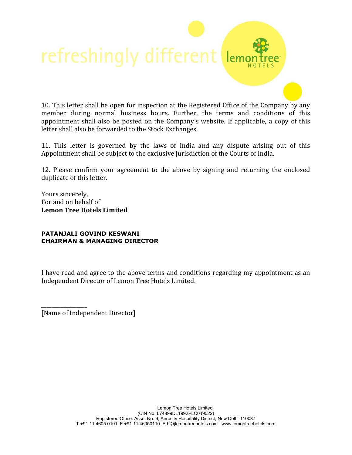# refreshingly different lemo

10. This letter shall be open for inspection at the Registered Office of the Company by any member during normal business hours. Further, the terms and conditions of this appointment shall also be posted on the Company's website. If applicable, a copy of this letter shall also be forwarded to the Stock Exchanges.

11. This letter is governed by the laws of India and any dispute arising out of this Appointment shall be subject to the exclusive jurisdiction of the Courts of India.

12. Please confirm your agreement to the above by signing and returning the enclosed duplicate of this letter.

Yours sincerely, For and on behalf of **Lemon Tree Hotels Limited** 

#### **PATANJALI GOVIND KESWANI CHAIRMAN & MANAGING DIRECTOR**

I have read and agree to the above terms and conditions regarding my appointment as an Independent Director of Lemon Tree Hotels Limited.

\_\_\_\_\_\_\_\_\_\_\_\_\_\_\_\_\_\_ [Name of Independent Director]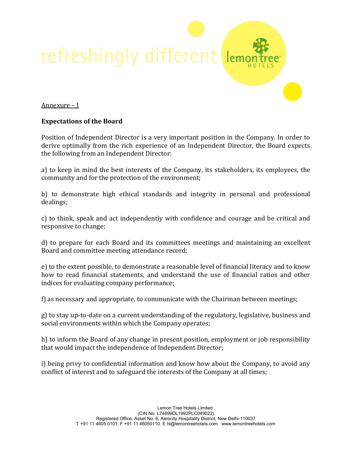

### Annexure – I

### **Expectations of the Board**

Position of Independent Director is a very important position in the Company. In order to derive optimally from the rich experience of an Independent Director, the Board expects the following from an Independent Director:

a) to keep in mind the best interests of the Company, its stakeholders, its employees, the community and for the protection of the environment;

b) to demonstrate high ethical standards and integrity in personal and professional dealings;

c) to think, speak and act independently with confidence and courage and be critical and responsive to change;

d) to prepare for each Board and its committees meetings and maintaining an excellent Board and committee meeting attendance record;

e) to the extent possible, to demonstrate a reasonable level of financial literacy and to know how to read financial statements, and understand the use of financial ratios and other indices for evaluating company performance;

f) as necessary and appropriate, to communicate with the Chairman between meetings;

g) to stay up-to-date on a current understanding of the regulatory, legislative, business and social environments within which the Company operates;

h) to inform the Board of any change in present position, employment or job responsibility that would impact the independence of Independent Director;

i) being privy to confidential information and know how about the Company, to avoid any conflict of interest and to safeguard the interests of the Company at all times;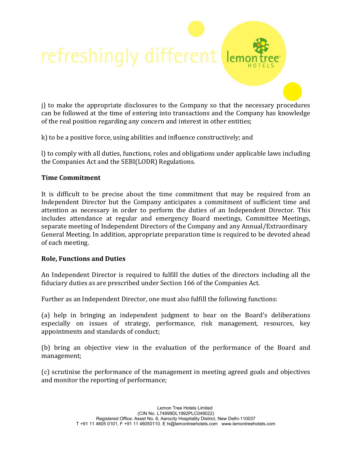j) to make the appropriate disclosures to the Company so that the necessary procedures can be followed at the time of entering into transactions and the Company has knowledge of the real position regarding any concern and interest in other entities;

ler

k) to be a positive force, using abilities and influence constructively; and

refreshingly different

l) to comply with all duties, functions, roles and obligations under applicable laws including the Companies Act and the SEBI(LODR) Regulations.

### **Time Commitment**

It is difficult to be precise about the time commitment that may be required from an Independent Director but the Company anticipates a commitment of sufficient time and attention as necessary in order to perform the duties of an Independent Director. This includes attendance at regular and emergency Board meetings, Committee Meetings, separate meeting of Independent Directors of the Company and any Annual/Extraordinary General Meeting. In addition, appropriate preparation time is required to be devoted ahead of each meeting.

### **Role, Functions and Duties**

An Independent Director is required to fulfill the duties of the directors including all the fiduciary duties as are prescribed under Section 166 of the Companies Act.

Further as an Independent Director, one must also fulfill the following functions:

(a) help in bringing an independent judgment to bear on the Board's deliberations especially on issues of strategy, performance, risk management, resources, key appointments and standards of conduct;

(b) bring an objective view in the evaluation of the performance of the Board and management;

(c) scrutinise the performance of the management in meeting agreed goals and objectives and monitor the reporting of performance;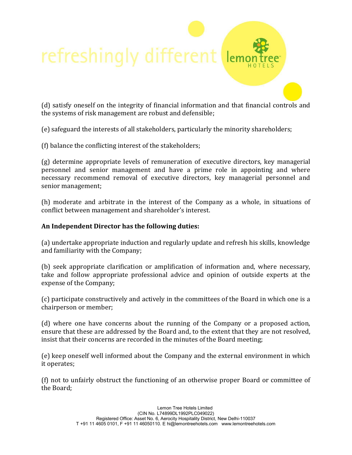### refreshingly different ler

(d) satisfy oneself on the integrity of financial information and that financial controls and the systems of risk management are robust and defensible;

(e) safeguard the interests of all stakeholders, particularly the minority shareholders;

(f) balance the conflicting interest of the stakeholders;

(g) determine appropriate levels of remuneration of executive directors, key managerial personnel and senior management and have a prime role in appointing and where necessary recommend removal of executive directors, key managerial personnel and senior management;

(h) moderate and arbitrate in the interest of the Company as a whole, in situations of conflict between management and shareholder's interest.

### **An Independent Director has the following duties:**

(a) undertake appropriate induction and regularly update and refresh his skills, knowledge and familiarity with the Company;

(b) seek appropriate clarification or amplification of information and, where necessary, take and follow appropriate professional advice and opinion of outside experts at the expense of the Company;

(c) participate constructively and actively in the committees of the Board in which one is a chairperson or member;

(d) where one have concerns about the running of the Company or a proposed action, ensure that these are addressed by the Board and, to the extent that they are not resolved, insist that their concerns are recorded in the minutes of the Board meeting;

(e) keep oneself well informed about the Company and the external environment in which it operates;

(f) not to unfairly obstruct the functioning of an otherwise proper Board or committee of the Board;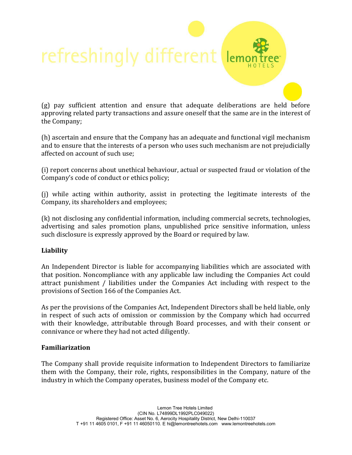## refreshingly different  $|<sub>en</sub>$

(g) pay sufficient attention and ensure that adequate deliberations are held before approving related party transactions and assure oneself that the same are in the interest of the Company;

(h) ascertain and ensure that the Company has an adequate and functional vigil mechanism and to ensure that the interests of a person who uses such mechanism are not prejudicially affected on account of such use;

(i) report concerns about unethical behaviour, actual or suspected fraud or violation of the Company's code of conduct or ethics policy;

(j) while acting within authority, assist in protecting the legitimate interests of the Company, its shareholders and employees;

(k) not disclosing any confidential information, including commercial secrets, technologies, advertising and sales promotion plans, unpublished price sensitive information, unless such disclosure is expressly approved by the Board or required by law.

### **Liability**

An Independent Director is liable for accompanying liabilities which are associated with that position. Noncompliance with any applicable law including the Companies Act could attract punishment / liabilities under the Companies Act including with respect to the provisions of Section 166 of the Companies Act.

As per the provisions of the Companies Act, Independent Directors shall be held liable, only in respect of such acts of omission or commission by the Company which had occurred with their knowledge, attributable through Board processes, and with their consent or connivance or where they had not acted diligently.

### **Familiarization**

The Company shall provide requisite information to Independent Directors to familiarize them with the Company, their role, rights, responsibilities in the Company, nature of the industry in which the Company operates, business model of the Company etc.